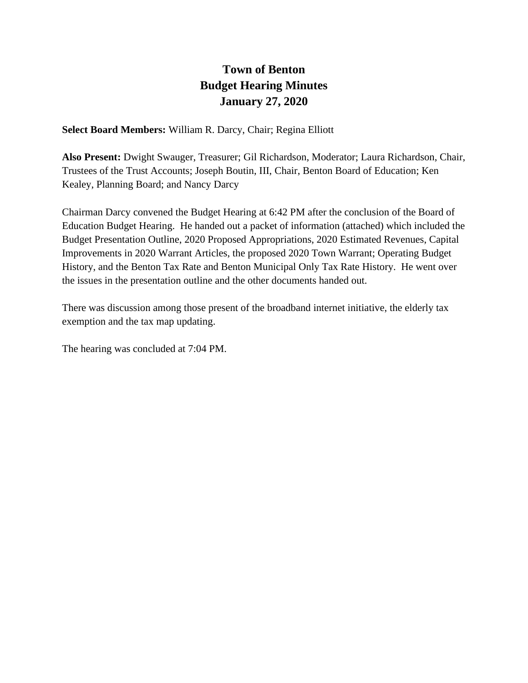### **Town of Benton Budget Hearing Minutes January 27, 2020**

**Select Board Members:** William R. Darcy, Chair; Regina Elliott

**Also Present:** Dwight Swauger, Treasurer; Gil Richardson, Moderator; Laura Richardson, Chair, Trustees of the Trust Accounts; Joseph Boutin, III, Chair, Benton Board of Education; Ken Kealey, Planning Board; and Nancy Darcy

Chairman Darcy convened the Budget Hearing at 6:42 PM after the conclusion of the Board of Education Budget Hearing. He handed out a packet of information (attached) which included the Budget Presentation Outline, 2020 Proposed Appropriations, 2020 Estimated Revenues, Capital Improvements in 2020 Warrant Articles, the proposed 2020 Town Warrant; Operating Budget History, and the Benton Tax Rate and Benton Municipal Only Tax Rate History. He went over the issues in the presentation outline and the other documents handed out.

There was discussion among those present of the broadband internet initiative, the elderly tax exemption and the tax map updating.

The hearing was concluded at 7:04 PM.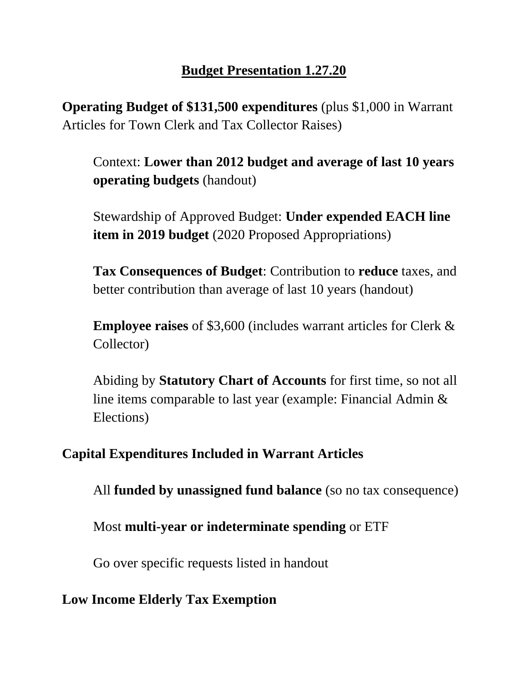## **Budget Presentation 1.27.20**

**Operating Budget of \$131,500 expenditures** (plus \$1,000 in Warrant Articles for Town Clerk and Tax Collector Raises)

Context: **Lower than 2012 budget and average of last 10 years operating budgets** (handout)

Stewardship of Approved Budget: **Under expended EACH line item in 2019 budget** (2020 Proposed Appropriations)

**Tax Consequences of Budget**: Contribution to **reduce** taxes, and better contribution than average of last 10 years (handout)

**Employee raises** of \$3,600 (includes warrant articles for Clerk & Collector)

Abiding by **Statutory Chart of Accounts** for first time, so not all line items comparable to last year (example: Financial Admin & Elections)

# **Capital Expenditures Included in Warrant Articles**

All **funded by unassigned fund balance** (so no tax consequence)

Most **multi-year or indeterminate spending** or ETF

Go over specific requests listed in handout

### **Low Income Elderly Tax Exemption**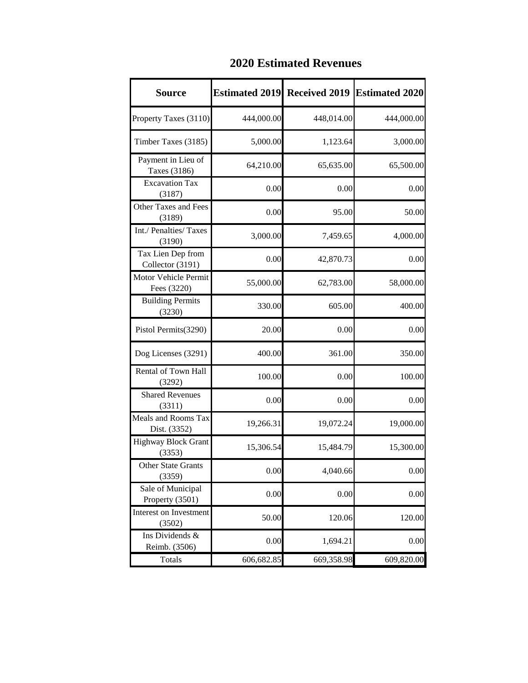| <b>Source</b>                           | <b>Estimated 2019</b> | <b>Received 2019</b> | <b>Estimated 2020</b> |
|-----------------------------------------|-----------------------|----------------------|-----------------------|
| Property Taxes (3110)                   | 444,000.00            | 448,014.00           | 444,000.00            |
| Timber Taxes (3185)                     | 5,000.00              | 1,123.64             | 3,000.00              |
| Payment in Lieu of<br>Taxes (3186)      | 64,210.00             | 65,635.00            | 65,500.00             |
| <b>Excavation Tax</b><br>(3187)         | 0.00                  | 0.00                 | 0.00                  |
| Other Taxes and Fees<br>(3189)          | 0.00                  | 95.00                | 50.00                 |
| Int./ Penalties/ Taxes<br>(3190)        | 3,000.00              | 7,459.65             | 4,000.00              |
| Tax Lien Dep from<br>Collector (3191)   | 0.00                  | 42,870.73            | 0.00                  |
| Motor Vehicle Permit<br>Fees (3220)     | 55,000.00             | 62,783.00            | 58,000.00             |
| <b>Building Permits</b><br>(3230)       | 330.00                | 605.00               | 400.00                |
| Pistol Permits(3290)                    | 20.00                 | 0.00                 | 0.00                  |
| Dog Licenses (3291)                     | 400.00                | 361.00               | 350.00                |
| Rental of Town Hall<br>(3292)           | 100.00                | 0.00                 | 100.00                |
| <b>Shared Revenues</b><br>(3311)        | 0.00                  | 0.00                 | 0.00                  |
| Meals and Rooms Tax<br>Dist. (3352)     | 19,266.31             | 19,072.24            | 19,000.00             |
| <b>Highway Block Grant</b><br>(3353)    | 15,306.54             | 15,484.79            | 15,300.00             |
| <b>Other State Grants</b><br>(3359)     | 0.00                  | 4,040.66             | 0.00                  |
| Sale of Municipal<br>Property (3501)    | 0.00                  | 0.00                 | 0.00                  |
| <b>Interest on Investment</b><br>(3502) | 50.00                 | 120.06               | 120.00                |
| Ins Dividends &<br>Reimb. (3506)        | 0.00                  | 1,694.21             | 0.00                  |
| Totals                                  | 606,682.85            | 669,358.98           | 609,820.00            |

### **2020 Estimated Revenues**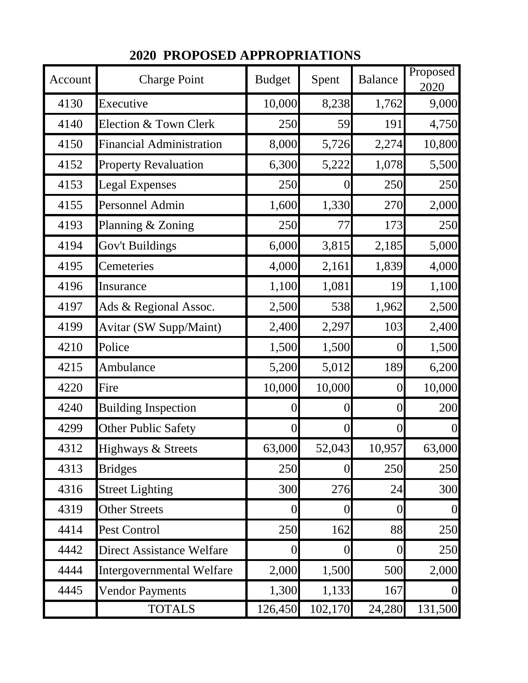| Account | <b>Charge Point</b>              | <b>Budget</b>  | Spent          | <b>Balance</b> | Proposed<br>2020 |
|---------|----------------------------------|----------------|----------------|----------------|------------------|
| 4130    | Executive                        | 10,000         | 8,238          | 1,762          | 9,000            |
| 4140    | Election & Town Clerk            | 250            | 59             | 191            | 4,750            |
| 4150    | <b>Financial Administration</b>  | 8,000          | 5,726          | 2,274          | 10,800           |
| 4152    | <b>Property Revaluation</b>      | 6,300          | 5,222          | 1,078          | 5,500            |
| 4153    | <b>Legal Expenses</b>            | 250            | $\overline{0}$ | 250            | 250              |
| 4155    | Personnel Admin                  | 1,600          | 1,330          | 270            | 2,000            |
| 4193    | Planning & Zoning                | 250            | 77             | 173            | 250              |
| 4194    | Gov't Buildings                  | 6,000          | 3,815          | 2,185          | 5,000            |
| 4195    | Cemeteries                       | 4,000          | 2,161          | 1,839          | 4,000            |
| 4196    | Insurance                        | 1,100          | 1,081          | 19             | 1,100            |
| 4197    | Ads & Regional Assoc.            | 2,500          | 538            | 1,962          | 2,500            |
| 4199    | <b>Avitar (SW Supp/Maint)</b>    | 2,400          | 2,297          | 103            | 2,400            |
| 4210    | Police                           | 1,500          | 1,500          | $\overline{0}$ | 1,500            |
| 4215    | Ambulance                        | 5,200          | 5,012          | 189            | 6,200            |
| 4220    | Fire                             | 10,000         | 10,000         | $\overline{0}$ | 10,000           |
| 4240    | <b>Building Inspection</b>       | $\overline{0}$ | $\overline{0}$ | $\overline{0}$ | 200              |
| 4299    | <b>Other Public Safety</b>       | 0              | $\overline{0}$ | $\overline{0}$ | $\overline{0}$   |
| 4312    | Highways & Streets               | 63,000         | 52,043         | 10,957         | 63,000           |
| 4313    | <b>Bridges</b>                   | 250            | $\overline{0}$ | 250            | 250              |
| 4316    | <b>Street Lighting</b>           | 300            | 276            | 24             | 300              |
| 4319    | <b>Other Streets</b>             | 0              | $\theta$       | $\overline{0}$ | $\overline{0}$   |
| 4414    | Pest Control                     | 250            | 162            | 88             | 250              |
| 4442    | <b>Direct Assistance Welfare</b> | 0              | $\overline{0}$ | $\overline{0}$ | 250              |
| 4444    | <b>Intergovernmental Welfare</b> | 2,000          | 1,500          | 500            | 2,000            |
| 4445    | <b>Vendor Payments</b>           | 1,300          | 1,133          | 167            | $\overline{0}$   |
|         | <b>TOTALS</b>                    | 126,450        | 102,170        | 24,280         | 131,500          |

## **2020 PROPOSED APPROPRIATIONS**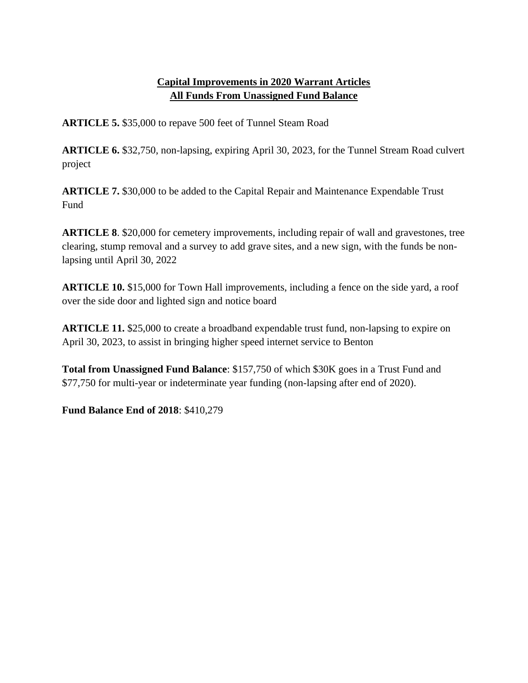#### **Capital Improvements in 2020 Warrant Articles All Funds From Unassigned Fund Balance**

**ARTICLE 5.** \$35,000 to repave 500 feet of Tunnel Steam Road

**ARTICLE 6.** \$32,750, non-lapsing, expiring April 30, 2023, for the Tunnel Stream Road culvert project

**ARTICLE 7.** \$30,000 to be added to the Capital Repair and Maintenance Expendable Trust Fund

**ARTICLE 8**. \$20,000 for cemetery improvements, including repair of wall and gravestones, tree clearing, stump removal and a survey to add grave sites, and a new sign, with the funds be nonlapsing until April 30, 2022

**ARTICLE 10.** \$15,000 for Town Hall improvements, including a fence on the side yard, a roof over the side door and lighted sign and notice board

**ARTICLE 11.** \$25,000 to create a broadband expendable trust fund, non-lapsing to expire on April 30, 2023, to assist in bringing higher speed internet service to Benton

**Total from Unassigned Fund Balance**: \$157,750 of which \$30K goes in a Trust Fund and \$77,750 for multi-year or indeterminate year funding (non-lapsing after end of 2020).

**Fund Balance End of 2018**: \$410,279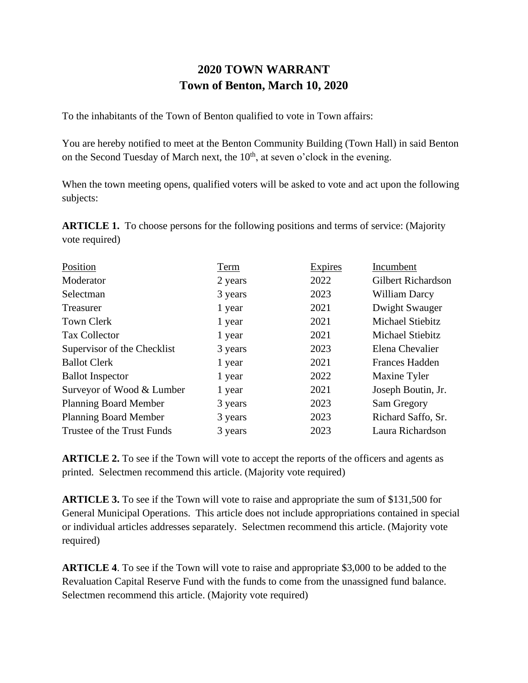### **2020 TOWN WARRANT Town of Benton, March 10, 2020**

To the inhabitants of the Town of Benton qualified to vote in Town affairs:

You are hereby notified to meet at the Benton Community Building (Town Hall) in said Benton on the Second Tuesday of March next, the  $10<sup>th</sup>$ , at seven o'clock in the evening.

When the town meeting opens, qualified voters will be asked to vote and act upon the following subjects:

**ARTICLE 1.** To choose persons for the following positions and terms of service: (Majority vote required)

| Position                     | Term    | Expires | Incumbent                 |
|------------------------------|---------|---------|---------------------------|
| Moderator                    | 2 years | 2022    | <b>Gilbert Richardson</b> |
| Selectman                    | 3 years | 2023    | William Darcy             |
| Treasurer                    | 1 year  | 2021    | Dwight Swauger            |
| <b>Town Clerk</b>            | 1 year  | 2021    | Michael Stiebitz          |
| Tax Collector                | 1 year  | 2021    | Michael Stiebitz          |
| Supervisor of the Checklist  | 3 years | 2023    | Elena Chevalier           |
| <b>Ballot Clerk</b>          | 1 year  | 2021    | <b>Frances Hadden</b>     |
| <b>Ballot</b> Inspector      | 1 year  | 2022    | Maxine Tyler              |
| Surveyor of Wood & Lumber    | 1 year  | 2021    | Joseph Boutin, Jr.        |
| <b>Planning Board Member</b> | 3 years | 2023    | Sam Gregory               |
| <b>Planning Board Member</b> | 3 years | 2023    | Richard Saffo, Sr.        |
| Trustee of the Trust Funds   | 3 years | 2023    | Laura Richardson          |

**ARTICLE 2.** To see if the Town will vote to accept the reports of the officers and agents as printed. Selectmen recommend this article. (Majority vote required)

**ARTICLE 3.** To see if the Town will vote to raise and appropriate the sum of \$131,500 for General Municipal Operations. This article does not include appropriations contained in special or individual articles addresses separately. Selectmen recommend this article. (Majority vote required)

**ARTICLE 4**. To see if the Town will vote to raise and appropriate \$3,000 to be added to the Revaluation Capital Reserve Fund with the funds to come from the unassigned fund balance. Selectmen recommend this article. (Majority vote required)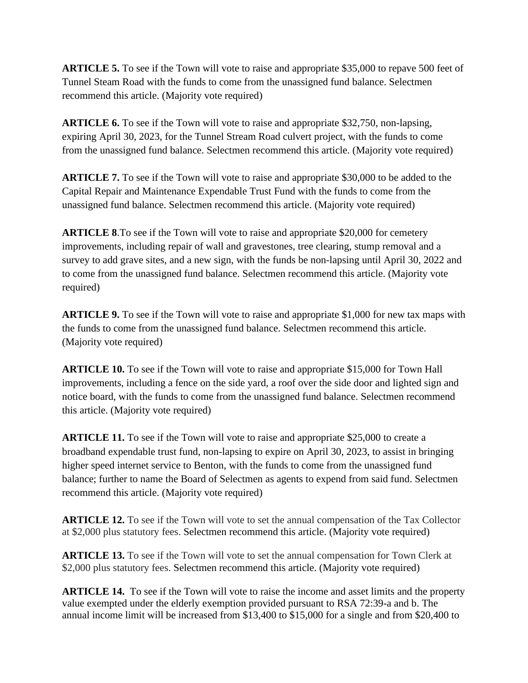**ARTICLE 5.** To see if the Town will vote to raise and appropriate \$35,000 to repave 500 feet of Tunnel Steam Road with the funds to come from the unassigned fund balance. Selectmen recommend this article. (Majority vote required)

**ARTICLE 6.** To see if the Town will vote to raise and appropriate \$32,750, non-lapsing, expiring April 30, 2023, for the Tunnel Stream Road culvert project, with the funds to come from the unassigned fund balance. Selectmen recommend this article. (Majority vote required)

**ARTICLE 7.** To see if the Town will vote to raise and appropriate \$30,000 to be added to the Capital Repair and Maintenance Expendable Trust Fund with the funds to come from the unassigned fund balance. Selectmen recommend this article. (Majority vote required)

**ARTICLE 8**.To see if the Town will vote to raise and appropriate \$20,000 for cemetery improvements, including repair of wall and gravestones, tree clearing, stump removal and a survey to add grave sites, and a new sign, with the funds be non-lapsing until April 30, 2022 and to come from the unassigned fund balance. Selectmen recommend this article. (Majority vote required)

**ARTICLE 9.** To see if the Town will vote to raise and appropriate \$1,000 for new tax maps with the funds to come from the unassigned fund balance. Selectmen recommend this article. (Majority vote required)

**ARTICLE 10.** To see if the Town will vote to raise and appropriate \$15,000 for Town Hall improvements, including a fence on the side yard, a roof over the side door and lighted sign and notice board, with the funds to come from the unassigned fund balance. Selectmen recommend this article. (Majority vote required)

**ARTICLE 11.** To see if the Town will vote to raise and appropriate \$25,000 to create a broadband expendable trust fund, non-lapsing to expire on April 30, 2023, to assist in bringing higher speed internet service to Benton, with the funds to come from the unassigned fund balance; further to name the Board of Selectmen as agents to expend from said fund. Selectmen recommend this article. (Majority vote required)

**ARTICLE 12.** To see if the Town will vote to set the annual compensation of the Tax Collector at \$2,000 plus statutory fees. Selectmen recommend this article. (Majority vote required)

**ARTICLE 13.** To see if the Town will vote to set the annual compensation for Town Clerk at \$2,000 plus statutory fees. Selectmen recommend this article. (Majority vote required)

**ARTICLE 14.** To see if the Town will vote to raise the income and asset limits and the property value exempted under the elderly exemption provided pursuant to RSA 72:39-a and b. The annual income limit will be increased from \$13,400 to \$15,000 for a single and from \$20,400 to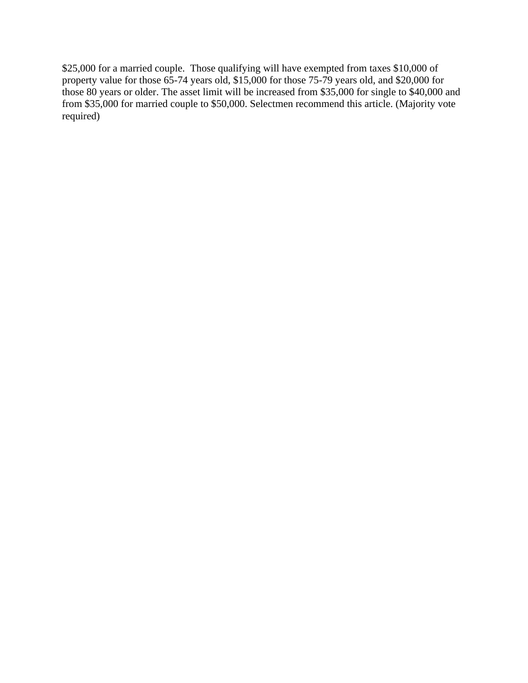\$25,000 for a married couple. Those qualifying will have exempted from taxes \$10,000 of property value for those 65-74 years old, \$15,000 for those 75-79 years old, and \$20,000 for those 80 years or older. The asset limit will be increased from \$35,000 for single to \$40,000 and from \$35,000 for married couple to \$50,000. Selectmen recommend this article. (Majority vote required)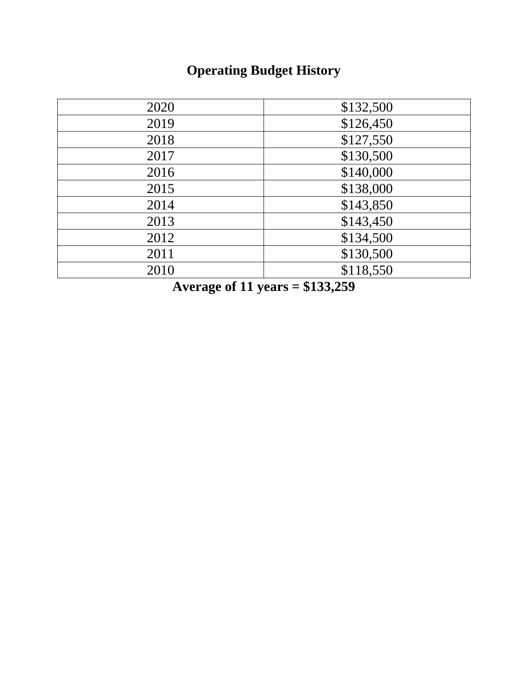# **Operating Budget History**

| 2020 | \$132,500 |
|------|-----------|
| 2019 | \$126,450 |
| 2018 | \$127,550 |
| 2017 | \$130,500 |
| 2016 | \$140,000 |
| 2015 | \$138,000 |
| 2014 | \$143,850 |
| 2013 | \$143,450 |
| 2012 | \$134,500 |
| 2011 | \$130,500 |
| 2010 | \$118,550 |
|      |           |

**Average of 11 years = \$133,259**